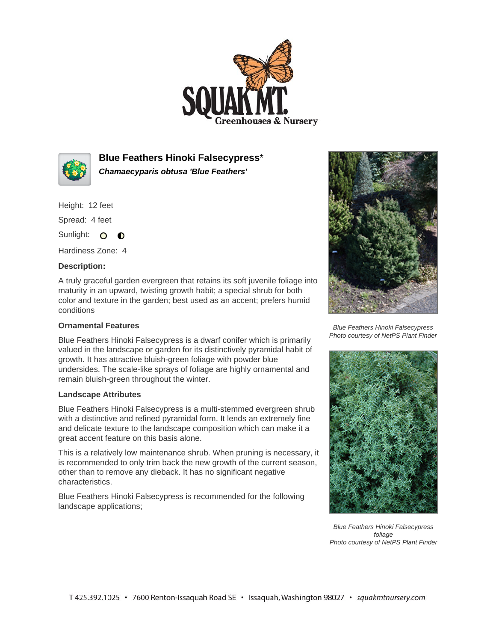



**Blue Feathers Hinoki Falsecypress**\* **Chamaecyparis obtusa 'Blue Feathers'**

Height: 12 feet

Spread: 4 feet

Sunlight: O **O** 

Hardiness Zone: 4

## **Description:**

A truly graceful garden evergreen that retains its soft juvenile foliage into maturity in an upward, twisting growth habit; a special shrub for both color and texture in the garden; best used as an accent; prefers humid conditions

## **Ornamental Features**

Blue Feathers Hinoki Falsecypress is a dwarf conifer which is primarily valued in the landscape or garden for its distinctively pyramidal habit of growth. It has attractive bluish-green foliage with powder blue undersides. The scale-like sprays of foliage are highly ornamental and remain bluish-green throughout the winter.

## **Landscape Attributes**

Blue Feathers Hinoki Falsecypress is a multi-stemmed evergreen shrub with a distinctive and refined pyramidal form. It lends an extremely fine and delicate texture to the landscape composition which can make it a great accent feature on this basis alone.

This is a relatively low maintenance shrub. When pruning is necessary, it is recommended to only trim back the new growth of the current season, other than to remove any dieback. It has no significant negative characteristics.

Blue Feathers Hinoki Falsecypress is recommended for the following landscape applications;



Blue Feathers Hinoki Falsecypress Photo courtesy of NetPS Plant Finder



Blue Feathers Hinoki Falsecypress foliage Photo courtesy of NetPS Plant Finder